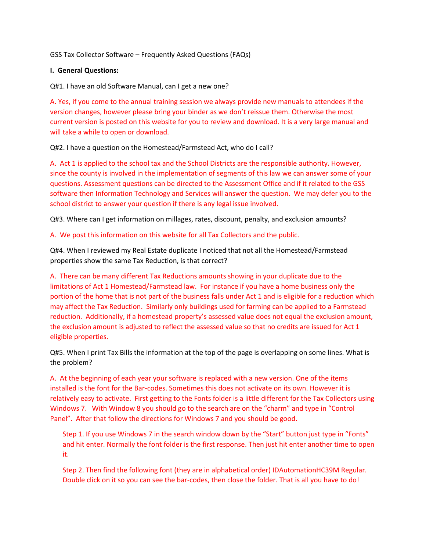GSS Tax Collector Software – Frequently Asked Questions (FAQs)

## **I. General Questions:**

Q#1. I have an old Software Manual, can I get a new one?

A. Yes, if you come to the annual training session we always provide new manuals to attendees if the version changes, however please bring your binder as we don't reissue them. Otherwise the most current version is posted on this website for you to review and download. It is a very large manual and will take a while to open or download.

Q#2. I have a question on the Homestead/Farmstead Act, who do I call?

A. Act 1 is applied to the school tax and the School Districts are the responsible authority. However, since the county is involved in the implementation of segments of this law we can answer some of your questions. Assessment questions can be directed to the Assessment Office and if it related to the GSS software then Information Technology and Services will answer the question. We may defer you to the school district to answer your question if there is any legal issue involved.

Q#3. Where can I get information on millages, rates, discount, penalty, and exclusion amounts?

A. We post this information on this website for all Tax Collectors and the public.

Q#4. When I reviewed my Real Estate duplicate I noticed that not all the Homestead/Farmstead properties show the same Tax Reduction, is that correct?

A. There can be many different Tax Reductions amounts showing in your duplicate due to the limitations of Act 1 Homestead/Farmstead law. For instance if you have a home business only the portion of the home that is not part of the business falls under Act 1 and is eligible for a reduction which may affect the Tax Reduction. Similarly only buildings used for farming can be applied to a Farmstead reduction. Additionally, if a homestead property's assessed value does not equal the exclusion amount, the exclusion amount is adjusted to reflect the assessed value so that no credits are issued for Act 1 eligible properties.

Q#5. When I print Tax Bills the information at the top of the page is overlapping on some lines. What is the problem?

A. At the beginning of each year your software is replaced with a new version. One of the items installed is the font for the Bar-codes. Sometimes this does not activate on its own. However it is relatively easy to activate. First getting to the Fonts folder is a little different for the Tax Collectors using Windows 7. With Window 8 you should go to the search are on the "charm" and type in "Control Panel". After that follow the directions for Windows 7 and you should be good.

Step 1. If you use Windows 7 in the search window down by the "Start" button just type in "Fonts" and hit enter. Normally the font folder is the first response. Then just hit enter another time to open it.

Step 2. Then find the following font (they are in alphabetical order) IDAutomationHC39M Regular. Double click on it so you can see the bar-codes, then close the folder. That is all you have to do!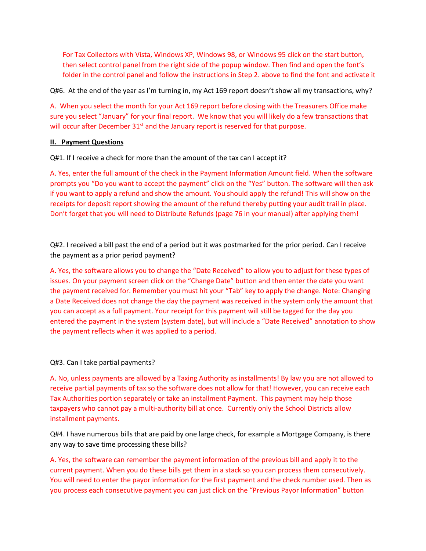For Tax Collectors with Vista, Windows XP, Windows 98, or Windows 95 click on the start button, then select control panel from the right side of the popup window. Then find and open the font's folder in the control panel and follow the instructions in Step 2. above to find the font and activate it

Q#6. At the end of the year as I'm turning in, my Act 169 report doesn't show all my transactions, why?

A. When you select the month for your Act 169 report before closing with the Treasurers Office make sure you select "January" for your final report. We know that you will likely do a few transactions that will occur after December  $31<sup>st</sup>$  and the January report is reserved for that purpose.

## **II. Payment Questions**

Q#1. If I receive a check for more than the amount of the tax can I accept it?

A. Yes, enter the full amount of the check in the Payment Information Amount field. When the software prompts you "Do you want to accept the payment" click on the "Yes" button. The software will then ask if you want to apply a refund and show the amount. You should apply the refund! This will show on the receipts for deposit report showing the amount of the refund thereby putting your audit trail in place. Don't forget that you will need to Distribute Refunds (page 76 in your manual) after applying them!

Q#2. I received a bill past the end of a period but it was postmarked for the prior period. Can I receive the payment as a prior period payment?

A. Yes, the software allows you to change the "Date Received" to allow you to adjust for these types of issues. On your payment screen click on the "Change Date" button and then enter the date you want the payment received for. Remember you must hit your "Tab" key to apply the change. Note: Changing a Date Received does not change the day the payment was received in the system only the amount that you can accept as a full payment. Your receipt for this payment will still be tagged for the day you entered the payment in the system (system date), but will include a "Date Received" annotation to show the payment reflects when it was applied to a period.

## Q#3. Can I take partial payments?

A. No, unless payments are allowed by a Taxing Authority as installments! By law you are not allowed to receive partial payments of tax so the software does not allow for that! However, you can receive each Tax Authorities portion separately or take an installment Payment. This payment may help those taxpayers who cannot pay a multi-authority bill at once. Currently only the School Districts allow installment payments.

Q#4. I have numerous bills that are paid by one large check, for example a Mortgage Company, is there any way to save time processing these bills?

A. Yes, the software can remember the payment information of the previous bill and apply it to the current payment. When you do these bills get them in a stack so you can process them consecutively. You will need to enter the payor information for the first payment and the check number used. Then as you process each consecutive payment you can just click on the "Previous Payor Information" button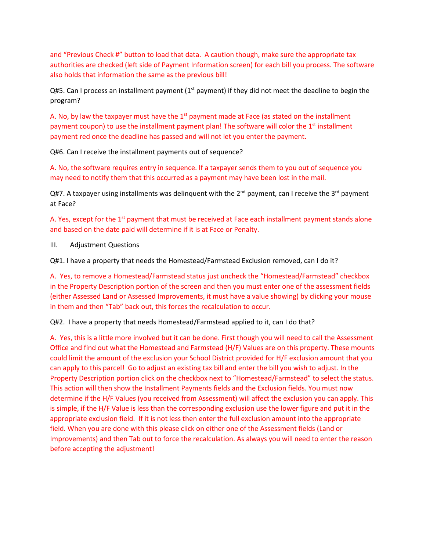and "Previous Check #" button to load that data. A caution though, make sure the appropriate tax authorities are checked (left side of Payment Information screen) for each bill you process. The software also holds that information the same as the previous bill!

Q#5. Can I process an installment payment ( $1<sup>st</sup>$  payment) if they did not meet the deadline to begin the program?

A. No, by law the taxpayer must have the  $1<sup>st</sup>$  payment made at Face (as stated on the installment payment coupon) to use the installment payment plan! The software will color the 1<sup>st</sup> installment payment red once the deadline has passed and will not let you enter the payment.

Q#6. Can I receive the installment payments out of sequence?

A. No, the software requires entry in sequence. If a taxpayer sends them to you out of sequence you may need to notify them that this occurred as a payment may have been lost in the mail.

Q#7. A taxpayer using installments was delinquent with the 2<sup>nd</sup> payment, can I receive the 3<sup>rd</sup> payment at Face?

A. Yes, except for the 1<sup>st</sup> payment that must be received at Face each installment payment stands alone and based on the date paid will determine if it is at Face or Penalty.

III. Adjustment Questions

Q#1. I have a property that needs the Homestead/Farmstead Exclusion removed, can I do it?

A. Yes, to remove a Homestead/Farmstead status just uncheck the "Homestead/Farmstead" checkbox in the Property Description portion of the screen and then you must enter one of the assessment fields (either Assessed Land or Assessed Improvements, it must have a value showing) by clicking your mouse in them and then "Tab" back out, this forces the recalculation to occur.

Q#2. I have a property that needs Homestead/Farmstead applied to it, can I do that?

A. Yes, this is a little more involved but it can be done. First though you will need to call the Assessment Office and find out what the Homestead and Farmstead (H/F) Values are on this property. These mounts could limit the amount of the exclusion your School District provided for H/F exclusion amount that you can apply to this parcel! Go to adjust an existing tax bill and enter the bill you wish to adjust. In the Property Description portion click on the checkbox next to "Homestead/Farmstead" to select the status. This action will then show the Installment Payments fields and the Exclusion fields. You must now determine if the H/F Values (you received from Assessment) will affect the exclusion you can apply. This is simple, if the H/F Value is less than the corresponding exclusion use the lower figure and put it in the appropriate exclusion field. If it is not less then enter the full exclusion amount into the appropriate field. When you are done with this please click on either one of the Assessment fields (Land or Improvements) and then Tab out to force the recalculation. As always you will need to enter the reason before accepting the adjustment!